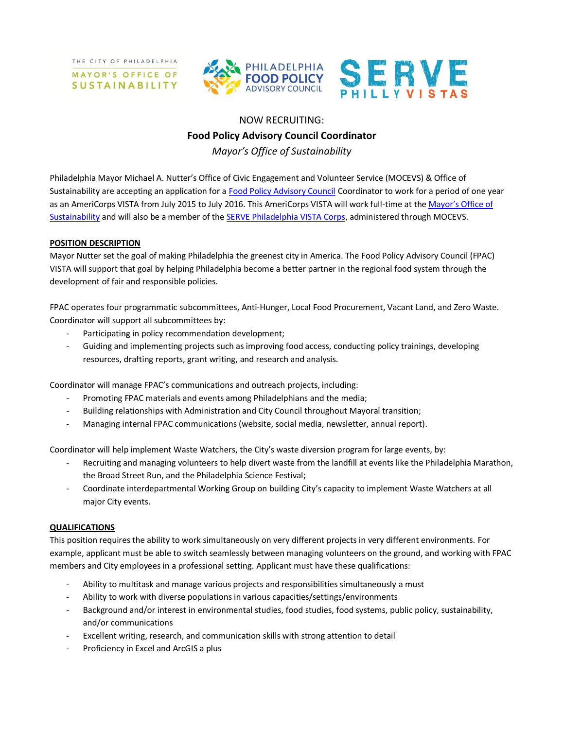THE CITY OF PHILADELPHIA MAYOR'S OFFICE OF

**SUSTAINABILITY** 



## NOW RECRUITING:

# **Food Policy Advisory Council Coordinator**

*Mayor's Office of Sustainability*

Philadelphia Mayor Michael A. Nutter's Office of Civic Engagement and Volunteer Service (MOCEVS) & Office of Sustainability are accepting an application for a [Food Policy Advisory Council](http://phillyfpac.org/) Coordinator to work for a period of one year as an AmeriCorps VISTA from July 2015 to July 2016. This AmeriCorps VISTA will work full-time at the [Mayor's Office of](http://www.phila.gov/green/index.html)  [Sustainability](http://www.phila.gov/green/index.html) and will also be a member of the [SERVE Philadelphia VISTA Corps,](http://servephillyvistas.org/) administered through MOCEVS.

### **POSITION DESCRIPTION**

Mayor Nutter set the goal of making Philadelphia the greenest city in America. The Food Policy Advisory Council (FPAC) VISTA will support that goal by helping Philadelphia become a better partner in the regional food system through the development of fair and responsible policies.

FPAC operates four programmatic subcommittees, Anti-Hunger, Local Food Procurement, Vacant Land, and Zero Waste. Coordinator will support all subcommittees by:

- Participating in policy recommendation development;
- Guiding and implementing projects such as improving food access, conducting policy trainings, developing resources, drafting reports, grant writing, and research and analysis.

Coordinator will manage FPAC's communications and outreach projects, including:

- Promoting FPAC materials and events among Philadelphians and the media;
- Building relationships with Administration and City Council throughout Mayoral transition;
- Managing internal FPAC communications (website, social media, newsletter, annual report).

Coordinator will help implement Waste Watchers, the City's waste diversion program for large events, by:

- Recruiting and managing volunteers to help divert waste from the landfill at events like the Philadelphia Marathon, the Broad Street Run, and the Philadelphia Science Festival;
- Coordinate interdepartmental Working Group on building City's capacity to implement Waste Watchers at all major City events.

### **QUALIFICATIONS**

This position requires the ability to work simultaneously on very different projects in very different environments. For example, applicant must be able to switch seamlessly between managing volunteers on the ground, and working with FPAC members and City employees in a professional setting. Applicant must have these qualifications:

- Ability to multitask and manage various projects and responsibilities simultaneously a must
- Ability to work with diverse populations in various capacities/settings/environments
- Background and/or interest in environmental studies, food studies, food systems, public policy, sustainability, and/or communications
- Excellent writing, research, and communication skills with strong attention to detail
- Proficiency in Excel and ArcGIS a plus